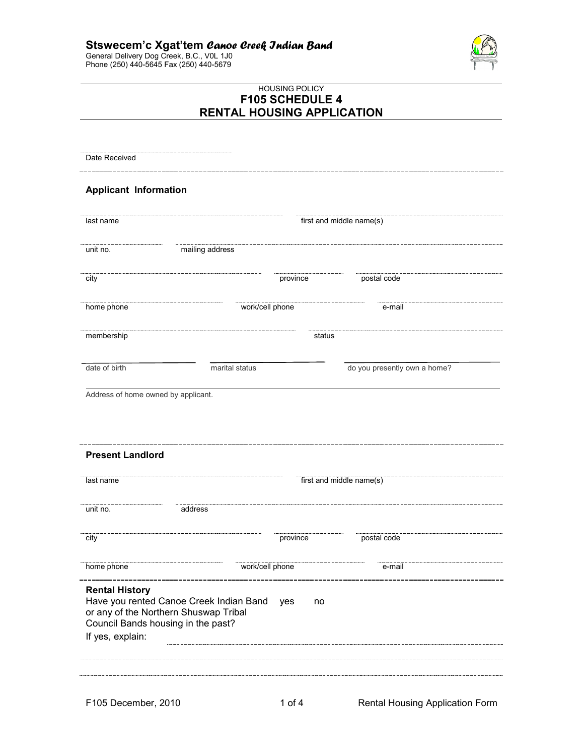# **Stswecem'c Xgat'tem** *Canoe Creek Indian Band*

General Delivery Dog Creek, B.C., V0L 1J0 Phone (250) 440-5645 Fax (250) 440-5679



# HOUSING POLICY **F105 SCHEDULE 4 RENTAL HOUSING APPLICATION**

| Date Received                                            |                 |                 |                              |  |
|----------------------------------------------------------|-----------------|-----------------|------------------------------|--|
| <b>Applicant Information</b>                             |                 |                 |                              |  |
| last name                                                |                 |                 | first and middle name(s)     |  |
| unit no.                                                 | mailing address |                 |                              |  |
| city                                                     |                 | province        | postal code                  |  |
| home phone                                               |                 | work/cell phone | e-mail                       |  |
| membership                                               |                 | status          |                              |  |
| date of birth                                            | marital status  |                 | do you presently own a home? |  |
| Address of home owned by applicant.                      |                 |                 |                              |  |
|                                                          |                 |                 |                              |  |
|                                                          |                 |                 |                              |  |
|                                                          |                 |                 | first and middle name(s)     |  |
|                                                          | address         |                 |                              |  |
| <b>Present Landlord</b><br>last name<br>unit no.<br>city |                 | province        | postal code                  |  |
| home phone                                               |                 | work/cell phone | e-mail                       |  |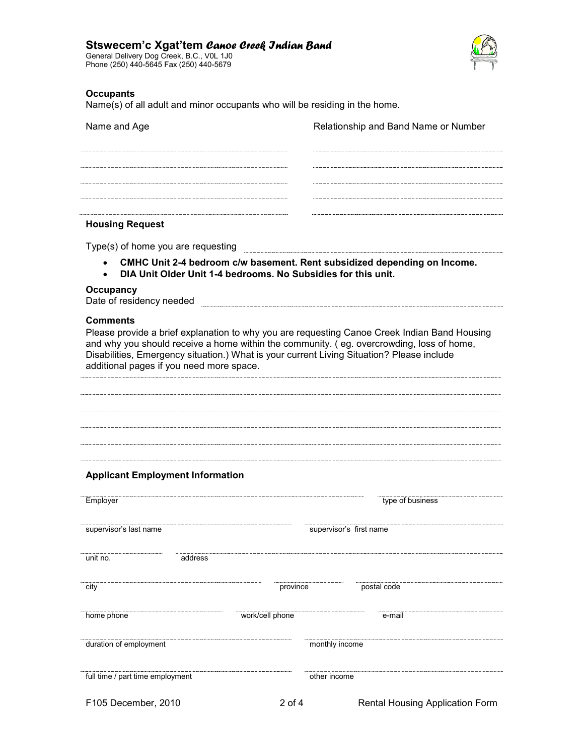## **Stswecem'c Xgat'tem** *Canoe Creek Indian Band*

General Delivery Dog Creek, B.C., V0L 1J0 Phone (250) 440-5645 Fax (250) 440-5679



## **Occupants**

Name(s) of all adult and minor occupants who will be residing in the home.

| Name and Age           | Relationship and Band Name or Number |
|------------------------|--------------------------------------|
|                        |                                      |
|                        |                                      |
|                        |                                      |
|                        |                                      |
| <b>Housing Request</b> |                                      |

Type(s) of home you are requesting

- **CMHC Unit 2-4 bedroom c/w basement. Rent subsidized depending on Income.**
- **DIA Unit Older Unit 1-4 bedrooms. No Subsidies for this unit.**

#### **Occupancy**

Date of residency needed **EXALC 2008** 

#### **Comments**

Please provide a brief explanation to why you are requesting Canoe Creek Indian Band Housing and why you should receive a home within the community. ( eg. overcrowding, loss of home, Disabilities, Emergency situation.) What is your current Living Situation? Please include additional pages if you need more space.

### **Applicant Employment Information**

| Employer                         |                 | type of business                |
|----------------------------------|-----------------|---------------------------------|
| supervisor's last name           |                 | supervisor's first name         |
| unit no.<br>address              |                 |                                 |
| city                             | province        | postal code                     |
| home phone                       | work/cell phone | e-mail                          |
| duration of employment           | monthly income  |                                 |
| full time / part time employment | other income    |                                 |
| F105 December, 2010              | $2$ of 4        | Rental Housing Application Form |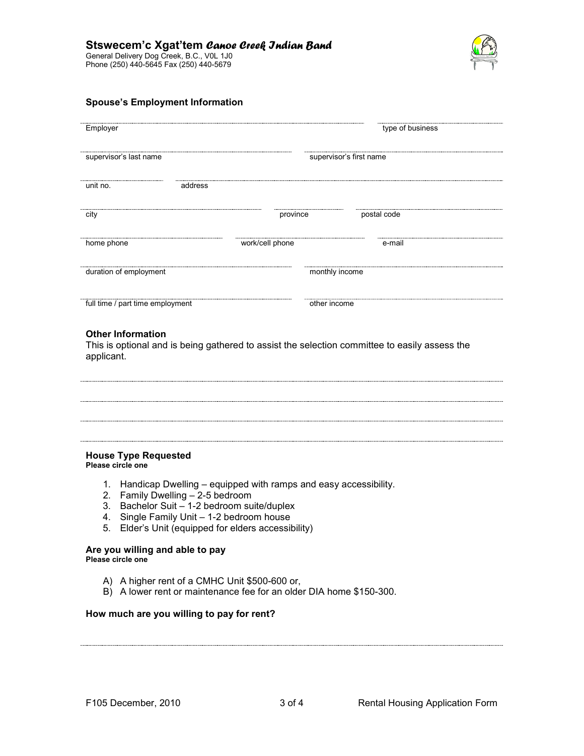

### **Spouse's Employment Information**

| Employer                         |         |                 |                         | type of business |  |
|----------------------------------|---------|-----------------|-------------------------|------------------|--|
| supervisor's last name           |         |                 | supervisor's first name |                  |  |
| unit no.                         | address |                 |                         |                  |  |
| city                             |         | province        |                         | postal code      |  |
| home phone                       |         | work/cell phone |                         | e-mail           |  |
| duration of employment           |         |                 | monthly income          |                  |  |
| full time / part time employment |         |                 | other income            |                  |  |

### **Other Information**

This is optional and is being gathered to assist the selection committee to easily assess the applicant.

# **House Type Requested**

**Please circle one** 

- 1. Handicap Dwelling equipped with ramps and easy accessibility.
- 2. Family Dwelling 2-5 bedroom
- 3. Bachelor Suit 1-2 bedroom suite/duplex
- 4. Single Family Unit 1-2 bedroom house
- 5. Elder's Unit (equipped for elders accessibility)

# **Are you willing and able to pay**

**Please circle one** 

- A) A higher rent of a CMHC Unit \$500-600 or,
- B) A lower rent or maintenance fee for an older DIA home \$150-300.

### **How much are you willing to pay for rent?**